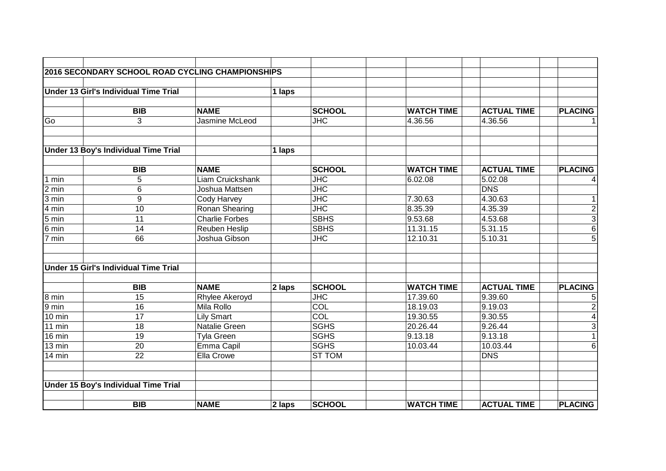|                  | <b>2016 SECONDARY SCHOOL ROAD CYCLING CHAMPIONSHIPS</b> |                       |        |                                   |                   |                    |                |
|------------------|---------------------------------------------------------|-----------------------|--------|-----------------------------------|-------------------|--------------------|----------------|
|                  |                                                         |                       |        |                                   |                   |                    |                |
|                  | Under 13 Girl's Individual Time Trial                   |                       | 1 laps |                                   |                   |                    |                |
|                  | <b>BIB</b>                                              | <b>NAME</b>           |        | <b>SCHOOL</b>                     | <b>WATCH TIME</b> | <b>ACTUAL TIME</b> | <b>PLACING</b> |
| Go               | 3                                                       | Jasmine McLeod        |        | $\overline{\mathsf{H}\mathsf{C}}$ | 4.36.56           | 4.36.56            |                |
|                  |                                                         |                       |        |                                   |                   |                    |                |
|                  |                                                         |                       |        |                                   |                   |                    |                |
|                  | Under 13 Boy's Individual Time Trial                    |                       | 1 laps |                                   |                   |                    |                |
|                  | <b>BIB</b>                                              | <b>NAME</b>           |        | <b>SCHOOL</b>                     | <b>WATCH TIME</b> | <b>ACTUAL TIME</b> | <b>PLACING</b> |
| $\sqrt{1}$ min   | 5                                                       | Liam Cruickshank      |        | $\overline{\mathsf{JHC}}$         | 6.02.08           | 5.02.08            | 4              |
| 2 min            | 6                                                       | Joshua Mattsen        |        | $\overline{\text{JHC}}$           |                   | <b>DNS</b>         |                |
| 3 min            | 9                                                       | Cody Harvey           |        | $\overline{\text{JHC}}$           | 7.30.63           | 4.30.63            | 1              |
| 4 min            | 10                                                      | Ronan Shearing        |        | $\overline{\text{JHC}}$           | 8.35.39           | 4.35.39            | $\overline{2}$ |
| $5 \text{ min}$  | $\overline{11}$                                         | <b>Charlie Forbes</b> |        | <b>SBHS</b>                       | 9.53.68           | 4.53.68            | $\overline{3}$ |
| $6 \text{ min}$  | 14                                                      | Reuben Heslip         |        | <b>SBHS</b>                       | 11.31.15          | 5.31.15            | $\overline{6}$ |
| 7 min            | 66                                                      | Joshua Gibson         |        | JHC                               | 12.10.31          | 5.10.31            | $\overline{5}$ |
|                  | <b>Under 15 Girl's Individual Time Trial</b>            |                       |        |                                   |                   |                    |                |
|                  |                                                         |                       |        |                                   |                   |                    |                |
|                  | <b>BIB</b>                                              | <b>NAME</b>           | 2 laps | <b>SCHOOL</b>                     | <b>WATCH TIME</b> | <b>ACTUAL TIME</b> | <b>PLACING</b> |
| $8 \text{ min}$  | $\overline{15}$                                         | Rhylee Akeroyd        |        | $\overline{\mathsf{JHC}}$         | 17.39.60          | 9.39.60            | 5              |
| 9 min            | 16                                                      | Mila Rollo            |        | COL                               | 18.19.03          | 9.19.03            | $\overline{2}$ |
| $10 \text{ min}$ | 17                                                      | <b>Lily Smart</b>     |        | COL                               | 19.30.55          | 9.30.55            | $\overline{4}$ |
| $11$ min         | 18                                                      | <b>Natalie Green</b>  |        | <b>SGHS</b>                       | 20.26.44          | 9.26.44            | $\overline{3}$ |
| $16 \text{ min}$ | 19                                                      | Tyla Green            |        | <b>SGHS</b>                       | 9.13.18           | 9.13.18            | $\overline{1}$ |
| $13 \text{ min}$ | 20                                                      | Emma Capil            |        | <b>SGHS</b>                       | 10.03.44          | 10.03.44           | 6              |
| 14 min           | 22                                                      | Ella Crowe            |        | <b>ST TOM</b>                     |                   | <b>DNS</b>         |                |
|                  | Under 15 Boy's Individual Time Trial                    |                       |        |                                   |                   |                    |                |
|                  |                                                         |                       |        |                                   |                   |                    |                |
|                  | <b>BIB</b>                                              | <b>NAME</b>           | 2 laps | <b>SCHOOL</b>                     | <b>WATCH TIME</b> | <b>ACTUAL TIME</b> | <b>PLACING</b> |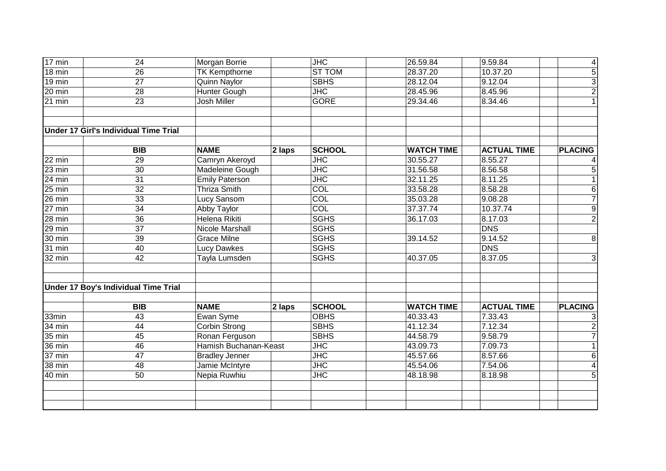| $17 \text{ min}$ | 24                                          | <b>Morgan Borrie</b>   |          | JHC                       | 26.59.84          | 9.59.84            | $\overline{4}$ |
|------------------|---------------------------------------------|------------------------|----------|---------------------------|-------------------|--------------------|----------------|
| $18 \text{ min}$ | $\overline{26}$                             | <b>TK Kempthorne</b>   |          | <b>ST TOM</b>             | 28.37.20          | 10.37.20           | $\overline{5}$ |
| 19 min           | $\overline{27}$                             | <b>Quinn Naylor</b>    |          | <b>SBHS</b>               | 28.12.04          | 9.12.04            | $\frac{3}{2}$  |
| 20 min           | 28                                          | <b>Hunter Gough</b>    |          | $\overline{\mathsf{JHC}}$ | 28.45.96          | 8.45.96            |                |
| $21$ min         | $\overline{23}$                             | Josh Miller            |          | <b>GORE</b>               | 29.34.46          | 8.34.46            |                |
|                  | Under 17 Girl's Individual Time Trial       |                        |          |                           |                   |                    |                |
|                  |                                             |                        |          |                           |                   |                    |                |
|                  | <b>BIB</b>                                  | <b>NAME</b>            | $2$ laps | <b>SCHOOL</b>             | <b>WATCH TIME</b> | <b>ACTUAL TIME</b> | <b>PLACING</b> |
| 22 min           | 29                                          | Camryn Akeroyd         |          | $\overline{\text{JHC}}$   | 30.55.27          | 8.55.27            |                |
| $23 \text{ min}$ | $\overline{30}$                             | <b>Madeleine Gough</b> |          | $\overline{\text{JHC}}$   | 31.56.58          | 8.56.58            | $\overline{5}$ |
| 24 min           | $\overline{31}$                             | <b>Emily Paterson</b>  |          | $\overline{\text{JHC}}$   | 32.11.25          | 8.11.25            | $\overline{1}$ |
| 25 min           | $\overline{32}$                             | <b>Thriza Smith</b>    |          | $\overline{COL}$          | 33.58.28          | 8.58.28            | 6              |
| 26 min           | 33                                          | Lucy Sansom            |          | <b>COL</b>                | 35.03.28          | 9.08.28            | $\overline{7}$ |
| $27$ min         | $\overline{34}$                             | Abby Taylor            |          | COL                       | 37.37.74          | 10.37.74           | $\overline{9}$ |
| 28 min           | 36                                          | Helena Rikiti          |          | <b>SGHS</b>               | 36.17.03          | 8.17.03            | $\overline{2}$ |
| 29 min           | $\overline{37}$                             | Nicole Marshall        |          | <b>SGHS</b>               |                   | <b>DNS</b>         |                |
| 30 min           | 39                                          | <b>Grace Milne</b>     |          | <b>SGHS</b>               | 39.14.52          | 9.14.52            | 8              |
| 31 min           | 40                                          | <b>Lucy Dawkes</b>     |          | <b>SGHS</b>               |                   | <b>DNS</b>         |                |
| 32 min           | 42                                          | Tayla Lumsden          |          | <b>SGHS</b>               | 40.37.05          | 8.37.05            | 3              |
|                  | <b>Under 17 Boy's Individual Time Trial</b> |                        |          |                           |                   |                    |                |
|                  | <b>BIB</b>                                  | <b>NAME</b>            | 2 laps   | <b>SCHOOL</b>             | <b>WATCH TIME</b> | <b>ACTUAL TIME</b> | <b>PLACING</b> |
| 33min            | 43                                          | Ewan Syme              |          | <b>OBHS</b>               | 40.33.43          | 7.33.43            | 3              |
| 34 min           | 44                                          | <b>Corbin Strong</b>   |          | <b>SBHS</b>               | 41.12.34          | 7.12.34            | $\overline{2}$ |
| 35 min           | 45                                          | Ronan Ferguson         |          | <b>SBHS</b>               | 44.58.79          | 9.58.79            | $\overline{7}$ |
| 36 min           | 46                                          | Hamish Buchanan-Keast  |          | <b>JHC</b>                | 43.09.73          | 7.09.73            | $\overline{1}$ |
| 37 min           | 47                                          | <b>Bradley Jenner</b>  |          | JHC                       | 45.57.66          | 8.57.66            | $\overline{6}$ |
| 38 min           | 48                                          | Jamie McIntyre         |          | <b>JHC</b>                | 45.54.06          | 7.54.06            | $\overline{4}$ |
| 40 min           | 50                                          | Nepia Ruwhiu           |          | <b>JHC</b>                | 48.18.98          | 8.18.98            | $\overline{5}$ |
|                  |                                             |                        |          |                           |                   |                    |                |
|                  |                                             |                        |          |                           |                   |                    |                |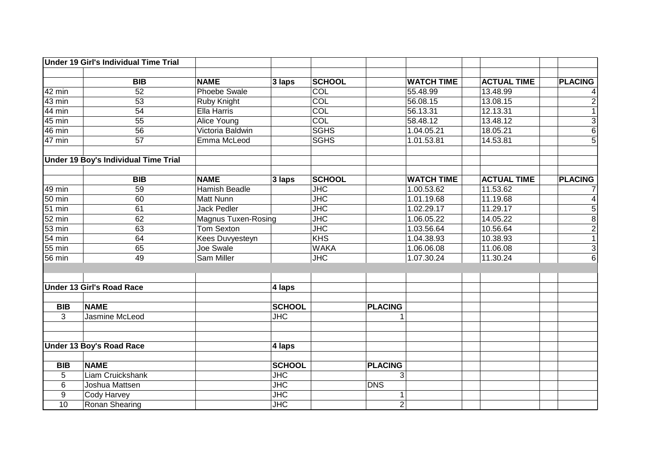|                  | <b>Under 19 Girl's Individual Time Trial</b> |                            |               |                         |                |                   |                    |                |
|------------------|----------------------------------------------|----------------------------|---------------|-------------------------|----------------|-------------------|--------------------|----------------|
|                  |                                              |                            |               |                         |                |                   |                    |                |
|                  | <b>BIB</b>                                   | <b>NAME</b>                | $3$ laps      | <b>SCHOOL</b>           |                | <b>WATCH TIME</b> | <b>ACTUAL TIME</b> | <b>PLACING</b> |
| 42 min           | 52                                           | <b>Phoebe Swale</b>        |               | <b>COL</b>              |                | 55.48.99          | 13.48.99           | 4              |
| $43 \text{ min}$ | 53                                           | Ruby Knight                |               | COL                     |                | 56.08.15          | 13.08.15           | $\overline{2}$ |
| 44 min           | 54                                           | Ella Harris                |               | COL                     |                | 56.13.31          | 12.13.31           | $\overline{1}$ |
| 45 min           | 55                                           | <b>Alice Young</b>         |               | COL                     |                | 58.48.12          | 13.48.12           | دن             |
| 46 min           | 56                                           | Victoria Baldwin           |               | <b>SGHS</b>             |                | 1.04.05.21        | 18.05.21           | $\sigma$       |
| 47 min           | 57                                           | Emma McLeod                |               | <b>SGHS</b>             |                | 1.01.53.81        | 14.53.81           | $\overline{5}$ |
|                  | Under 19 Boy's Individual Time Trial         |                            |               |                         |                |                   |                    |                |
|                  | $\overline{BIB}$                             | <b>NAME</b>                | $3$ laps      | <b>SCHOOL</b>           |                | <b>WATCH TIME</b> | <b>ACTUAL TIME</b> | <b>PLACING</b> |
| 49 min           | 59                                           | <b>Hamish Beadle</b>       |               | $\overline{\text{JHC}}$ |                | 1.00.53.62        | 11.53.62           | 7              |
| 50 min           | 60                                           | Matt Nunn                  |               | $\overline{\text{JHC}}$ |                | 1.01.19.68        | 11.19.68           | 4              |
| 51 min           | 61                                           | <b>Jack Pedler</b>         |               | $\overline{\text{JHC}}$ |                | 1.02.29.17        | 11.29.17           | $\overline{5}$ |
| 52 min           | 62                                           | <b>Magnus Tuxen-Rosing</b> |               | $\overline{\text{JHC}}$ |                | 1.06.05.22        | 14.05.22           | $\overline{8}$ |
| 53 min           | 63                                           | <b>Tom Sexton</b>          |               | JHC                     |                | 1.03.56.64        | 10.56.64           | $\frac{2}{1}$  |
| 54 min           | 64                                           | <b>Kees Duvyesteyn</b>     |               | KHS                     |                | 1.04.38.93        | 10.38.93           |                |
| 55 min           | 65                                           | Joe Swale                  |               | <b>WAKA</b>             |                | 1.06.06.08        | 11.06.08           | $\overline{3}$ |
| 56 min           | 49                                           | <b>Sam Miller</b>          |               | $\overline{\text{JHC}}$ |                | 1.07.30.24        | 11.30.24           | $\overline{6}$ |
|                  | <b>Under 13 Girl's Road Race</b>             |                            | 4 laps        |                         |                |                   |                    |                |
|                  |                                              |                            |               |                         |                |                   |                    |                |
| <b>BIB</b>       | <b>NAME</b>                                  |                            | <b>SCHOOL</b> |                         | <b>PLACING</b> |                   |                    |                |
| 3                | <b>Jasmine McLeod</b>                        |                            | <b>JHC</b>    |                         |                |                   |                    |                |
|                  | <b>Under 13 Boy's Road Race</b>              |                            | 4 laps        |                         |                |                   |                    |                |
| <b>BIB</b>       | <b>NAME</b>                                  |                            | <b>SCHOOL</b> |                         | <b>PLACING</b> |                   |                    |                |
| 5                | Liam Cruickshank                             |                            | <b>JHC</b>    |                         | 3              |                   |                    |                |
| 6                | Joshua Mattsen                               |                            | <b>JHC</b>    |                         | <b>DNS</b>     |                   |                    |                |
| 9                | <b>Cody Harvey</b>                           |                            | <b>JHC</b>    |                         | 1              |                   |                    |                |
| 10               | Ronan Shearing                               |                            | <b>JHC</b>    |                         | $\overline{2}$ |                   |                    |                |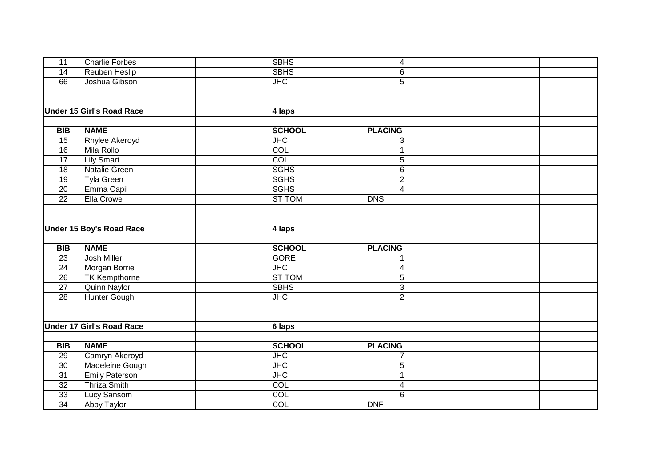|                                  |                                                                                                                                                                                                                                                                                                                               | 4                                                                                                                                                                                                                                      |                                    |
|----------------------------------|-------------------------------------------------------------------------------------------------------------------------------------------------------------------------------------------------------------------------------------------------------------------------------------------------------------------------------|----------------------------------------------------------------------------------------------------------------------------------------------------------------------------------------------------------------------------------------|------------------------------------|
|                                  |                                                                                                                                                                                                                                                                                                                               | 6                                                                                                                                                                                                                                      |                                    |
| Joshua Gibson                    |                                                                                                                                                                                                                                                                                                                               | 5                                                                                                                                                                                                                                      |                                    |
|                                  |                                                                                                                                                                                                                                                                                                                               |                                                                                                                                                                                                                                        |                                    |
|                                  |                                                                                                                                                                                                                                                                                                                               |                                                                                                                                                                                                                                        |                                    |
| <b>Under 15 Girl's Road Race</b> | 4 laps                                                                                                                                                                                                                                                                                                                        |                                                                                                                                                                                                                                        |                                    |
|                                  |                                                                                                                                                                                                                                                                                                                               |                                                                                                                                                                                                                                        |                                    |
| <b>NAME</b>                      | <b>SCHOOL</b>                                                                                                                                                                                                                                                                                                                 | <b>PLACING</b>                                                                                                                                                                                                                         |                                    |
| <b>Rhylee Akeroyd</b>            | $\overline{\mathsf{JHC}}$                                                                                                                                                                                                                                                                                                     | 3                                                                                                                                                                                                                                      |                                    |
| Mila Rollo                       | $\overline{COL}$                                                                                                                                                                                                                                                                                                              | 1                                                                                                                                                                                                                                      |                                    |
| <b>Lily Smart</b>                | <b>COL</b>                                                                                                                                                                                                                                                                                                                    | 5                                                                                                                                                                                                                                      |                                    |
| Natalie Green                    | <b>SGHS</b>                                                                                                                                                                                                                                                                                                                   | 6                                                                                                                                                                                                                                      |                                    |
| <b>Tyla Green</b>                | <b>SGHS</b>                                                                                                                                                                                                                                                                                                                   | $\overline{2}$                                                                                                                                                                                                                         |                                    |
|                                  | <b>SGHS</b>                                                                                                                                                                                                                                                                                                                   | $\overline{4}$                                                                                                                                                                                                                         |                                    |
| Ella Crowe                       | <b>ST TOM</b>                                                                                                                                                                                                                                                                                                                 | <b>DNS</b>                                                                                                                                                                                                                             |                                    |
|                                  |                                                                                                                                                                                                                                                                                                                               |                                                                                                                                                                                                                                        |                                    |
|                                  |                                                                                                                                                                                                                                                                                                                               |                                                                                                                                                                                                                                        |                                    |
|                                  |                                                                                                                                                                                                                                                                                                                               |                                                                                                                                                                                                                                        |                                    |
|                                  |                                                                                                                                                                                                                                                                                                                               |                                                                                                                                                                                                                                        |                                    |
| <b>NAME</b>                      | <b>SCHOOL</b>                                                                                                                                                                                                                                                                                                                 | <b>PLACING</b>                                                                                                                                                                                                                         |                                    |
| <b>Josh Miller</b>               | <b>GORE</b>                                                                                                                                                                                                                                                                                                                   |                                                                                                                                                                                                                                        |                                    |
|                                  | $\overline{\text{JHC}}$                                                                                                                                                                                                                                                                                                       | 4                                                                                                                                                                                                                                      |                                    |
|                                  |                                                                                                                                                                                                                                                                                                                               |                                                                                                                                                                                                                                        |                                    |
|                                  |                                                                                                                                                                                                                                                                                                                               | $\overline{3}$                                                                                                                                                                                                                         |                                    |
|                                  |                                                                                                                                                                                                                                                                                                                               | $\overline{2}$                                                                                                                                                                                                                         |                                    |
|                                  |                                                                                                                                                                                                                                                                                                                               |                                                                                                                                                                                                                                        |                                    |
|                                  |                                                                                                                                                                                                                                                                                                                               |                                                                                                                                                                                                                                        |                                    |
|                                  |                                                                                                                                                                                                                                                                                                                               |                                                                                                                                                                                                                                        |                                    |
|                                  |                                                                                                                                                                                                                                                                                                                               |                                                                                                                                                                                                                                        |                                    |
| <b>NAME</b>                      |                                                                                                                                                                                                                                                                                                                               |                                                                                                                                                                                                                                        |                                    |
|                                  |                                                                                                                                                                                                                                                                                                                               |                                                                                                                                                                                                                                        |                                    |
|                                  |                                                                                                                                                                                                                                                                                                                               |                                                                                                                                                                                                                                        |                                    |
|                                  |                                                                                                                                                                                                                                                                                                                               | 1                                                                                                                                                                                                                                      |                                    |
|                                  |                                                                                                                                                                                                                                                                                                                               |                                                                                                                                                                                                                                        |                                    |
|                                  |                                                                                                                                                                                                                                                                                                                               |                                                                                                                                                                                                                                        |                                    |
| <b>Abby Taylor</b>               | COL                                                                                                                                                                                                                                                                                                                           | <b>DNF</b>                                                                                                                                                                                                                             |                                    |
|                                  | <b>Charlie Forbes</b><br><b>Reuben Heslip</b><br>Emma Capil<br><b>Under 15 Boy's Road Race</b><br>Morgan Borrie<br><b>TK Kempthorne</b><br><b>Quinn Naylor</b><br><b>Hunter Gough</b><br><b>Under 17 Girl's Road Race</b><br>Camryn Akeroyd<br>Madeleine Gough<br><b>Emily Paterson</b><br><b>Thriza Smith</b><br>Lucy Sansom | <b>SBHS</b><br><b>SBHS</b><br>$\overline{\text{JHC}}$<br>4 laps<br><b>ST TOM</b><br><b>SBHS</b><br>$\overline{\mathsf{JHC}}$<br>6 laps<br><b>SCHOOL</b><br>$\overline{\mathsf{JHC}}$<br>$\overline{\mathsf{JHC}}$<br>JHC<br>COL<br>COL | 5<br><b>PLACING</b><br>5<br>4<br>6 |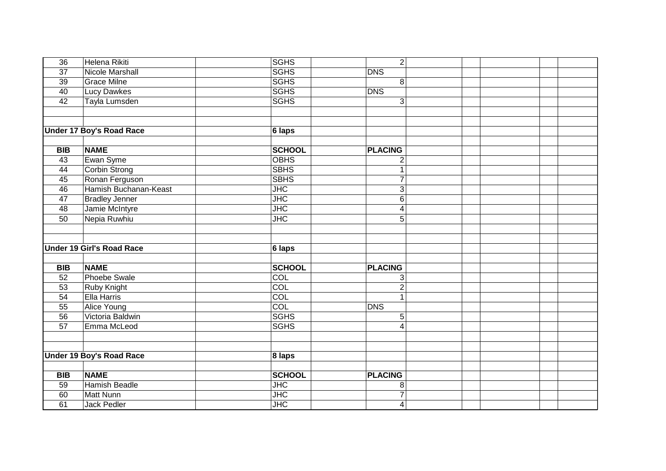|                                 |                                                                                                                                                                                                                                                                                                                                                                                                                                   | 8                                                                                                                                                                                                                                    |                                                                                                                                                 |
|---------------------------------|-----------------------------------------------------------------------------------------------------------------------------------------------------------------------------------------------------------------------------------------------------------------------------------------------------------------------------------------------------------------------------------------------------------------------------------|--------------------------------------------------------------------------------------------------------------------------------------------------------------------------------------------------------------------------------------|-------------------------------------------------------------------------------------------------------------------------------------------------|
|                                 |                                                                                                                                                                                                                                                                                                                                                                                                                                   |                                                                                                                                                                                                                                      |                                                                                                                                                 |
|                                 |                                                                                                                                                                                                                                                                                                                                                                                                                                   | 3                                                                                                                                                                                                                                    |                                                                                                                                                 |
|                                 |                                                                                                                                                                                                                                                                                                                                                                                                                                   |                                                                                                                                                                                                                                      |                                                                                                                                                 |
|                                 |                                                                                                                                                                                                                                                                                                                                                                                                                                   |                                                                                                                                                                                                                                      |                                                                                                                                                 |
| <b>Under 17 Boy's Road Race</b> | 6 laps                                                                                                                                                                                                                                                                                                                                                                                                                            |                                                                                                                                                                                                                                      |                                                                                                                                                 |
|                                 |                                                                                                                                                                                                                                                                                                                                                                                                                                   |                                                                                                                                                                                                                                      |                                                                                                                                                 |
| <b>NAME</b>                     | <b>SCHOOL</b>                                                                                                                                                                                                                                                                                                                                                                                                                     | <b>PLACING</b>                                                                                                                                                                                                                       |                                                                                                                                                 |
| Ewan Syme                       | <b>OBHS</b>                                                                                                                                                                                                                                                                                                                                                                                                                       | $\overline{2}$                                                                                                                                                                                                                       |                                                                                                                                                 |
|                                 | <b>SBHS</b>                                                                                                                                                                                                                                                                                                                                                                                                                       | 1                                                                                                                                                                                                                                    |                                                                                                                                                 |
| Ronan Ferguson                  | <b>SBHS</b>                                                                                                                                                                                                                                                                                                                                                                                                                       | $\overline{7}$                                                                                                                                                                                                                       |                                                                                                                                                 |
| Hamish Buchanan-Keast           | $\overline{\text{JHC}}$                                                                                                                                                                                                                                                                                                                                                                                                           | $\sqrt{3}$                                                                                                                                                                                                                           |                                                                                                                                                 |
|                                 | $\overline{\text{JHC}}$                                                                                                                                                                                                                                                                                                                                                                                                           | 6                                                                                                                                                                                                                                    |                                                                                                                                                 |
|                                 | $\overline{\mathsf{JHC}}$                                                                                                                                                                                                                                                                                                                                                                                                         | 4                                                                                                                                                                                                                                    |                                                                                                                                                 |
|                                 | $\overline{\text{JHC}}$                                                                                                                                                                                                                                                                                                                                                                                                           | 5                                                                                                                                                                                                                                    |                                                                                                                                                 |
|                                 |                                                                                                                                                                                                                                                                                                                                                                                                                                   |                                                                                                                                                                                                                                      |                                                                                                                                                 |
|                                 |                                                                                                                                                                                                                                                                                                                                                                                                                                   |                                                                                                                                                                                                                                      |                                                                                                                                                 |
|                                 |                                                                                                                                                                                                                                                                                                                                                                                                                                   |                                                                                                                                                                                                                                      |                                                                                                                                                 |
|                                 |                                                                                                                                                                                                                                                                                                                                                                                                                                   |                                                                                                                                                                                                                                      |                                                                                                                                                 |
|                                 |                                                                                                                                                                                                                                                                                                                                                                                                                                   |                                                                                                                                                                                                                                      |                                                                                                                                                 |
|                                 |                                                                                                                                                                                                                                                                                                                                                                                                                                   |                                                                                                                                                                                                                                      |                                                                                                                                                 |
|                                 |                                                                                                                                                                                                                                                                                                                                                                                                                                   |                                                                                                                                                                                                                                      |                                                                                                                                                 |
|                                 |                                                                                                                                                                                                                                                                                                                                                                                                                                   | 1                                                                                                                                                                                                                                    |                                                                                                                                                 |
|                                 |                                                                                                                                                                                                                                                                                                                                                                                                                                   |                                                                                                                                                                                                                                      |                                                                                                                                                 |
|                                 |                                                                                                                                                                                                                                                                                                                                                                                                                                   |                                                                                                                                                                                                                                      |                                                                                                                                                 |
|                                 |                                                                                                                                                                                                                                                                                                                                                                                                                                   | $\boldsymbol{\Delta}$                                                                                                                                                                                                                |                                                                                                                                                 |
|                                 |                                                                                                                                                                                                                                                                                                                                                                                                                                   |                                                                                                                                                                                                                                      |                                                                                                                                                 |
|                                 |                                                                                                                                                                                                                                                                                                                                                                                                                                   |                                                                                                                                                                                                                                      |                                                                                                                                                 |
|                                 |                                                                                                                                                                                                                                                                                                                                                                                                                                   |                                                                                                                                                                                                                                      |                                                                                                                                                 |
|                                 |                                                                                                                                                                                                                                                                                                                                                                                                                                   |                                                                                                                                                                                                                                      |                                                                                                                                                 |
|                                 |                                                                                                                                                                                                                                                                                                                                                                                                                                   |                                                                                                                                                                                                                                      |                                                                                                                                                 |
|                                 |                                                                                                                                                                                                                                                                                                                                                                                                                                   |                                                                                                                                                                                                                                      |                                                                                                                                                 |
|                                 |                                                                                                                                                                                                                                                                                                                                                                                                                                   |                                                                                                                                                                                                                                      |                                                                                                                                                 |
|                                 |                                                                                                                                                                                                                                                                                                                                                                                                                                   |                                                                                                                                                                                                                                      |                                                                                                                                                 |
|                                 | Helena Rikiti<br><b>Nicole Marshall</b><br><b>Grace Milne</b><br><b>Lucy Dawkes</b><br>Tayla Lumsden<br>Corbin Strong<br><b>Bradley Jenner</b><br>Jamie McIntyre<br>Nepia Ruwhiu<br><b>Under 19 Girl's Road Race</b><br><b>NAME</b><br><b>Phoebe Swale</b><br>Ruby Knight<br>Ella Harris<br>Alice Young<br>Victoria Baldwin<br>Emma McLeod<br><b>Under 19 Boy's Road Race</b><br><b>NAME</b><br><b>Hamish Beadle</b><br>Matt Nunn | <b>SGHS</b><br><b>SGHS</b><br><b>SGHS</b><br><b>SGHS</b><br><b>SGHS</b><br>$6$ laps<br><b>SCHOOL</b><br>COL<br>COL<br><b>COL</b><br>COL<br><b>SGHS</b><br><b>SGHS</b><br>8 laps<br><b>SCHOOL</b><br>$\overline{\mathsf{JHC}}$<br>JHC | $\overline{2}$<br><b>DNS</b><br><b>DNS</b><br><b>PLACING</b><br>3<br>$\overline{2}$<br><b>DNS</b><br>5<br><b>PLACING</b><br>8<br>$\overline{7}$ |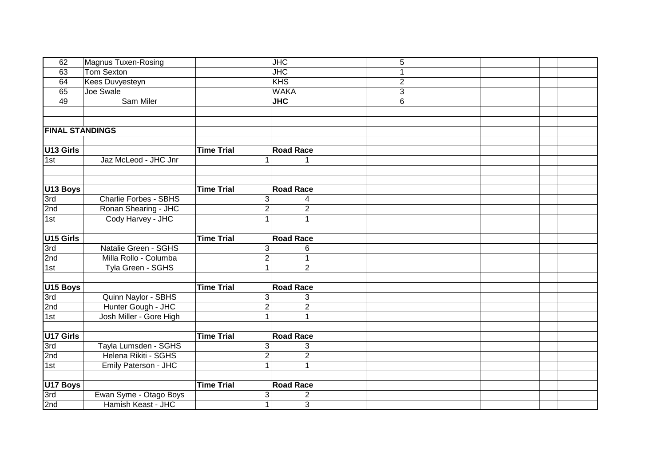| 62                     | <b>Magnus Tuxen-Rosing</b>   |                   | $\overline{\mathsf{JHC}}$ | 5              |  |
|------------------------|------------------------------|-------------------|---------------------------|----------------|--|
| 63                     | Tom Sexton                   |                   | $\overline{\mathsf{JHC}}$ |                |  |
| 64                     | Kees Duvyesteyn              |                   | <b>KHS</b>                | $\overline{2}$ |  |
| 65                     | Joe Swale                    |                   | <b>WAKA</b>               | 3              |  |
| 49                     | <b>Sam Miler</b>             |                   | $\overline{\text{JHC}}$   | 6              |  |
|                        |                              |                   |                           |                |  |
|                        |                              |                   |                           |                |  |
| <b>FINAL STANDINGS</b> |                              |                   |                           |                |  |
|                        |                              |                   |                           |                |  |
| U13 Girls              |                              | <b>Time Trial</b> | <b>Road Race</b>          |                |  |
| 1st                    | Jaz McLeod - JHC Jnr         | $\mathbf{1}$      |                           |                |  |
|                        |                              |                   |                           |                |  |
|                        |                              |                   |                           |                |  |
| U <sub>13</sub> Boys   |                              | <b>Time Trial</b> | <b>Road Race</b>          |                |  |
| 3rd                    | <b>Charlie Forbes - SBHS</b> | 3 <sup>1</sup>    | $\overline{4}$            |                |  |
| 2nd                    | Ronan Shearing - JHC         | $\overline{2}$    | $\overline{2}$            |                |  |
| 1st                    | Cody Harvey - JHC            | $\mathbf{1}$      | $\mathbf{1}$              |                |  |
|                        |                              |                   |                           |                |  |
| U <sub>15</sub> Girls  |                              | <b>Time Trial</b> | <b>Road Race</b>          |                |  |
| 3rd                    | Natalie Green - SGHS         | 3 <sup>1</sup>    | 6                         |                |  |
| 2nd                    | Milla Rollo - Columba        | $\overline{2}$    | $\mathbf{1}$              |                |  |
| 1st                    | Tyla Green - SGHS            | $\mathbf{1}$      | $\overline{2}$            |                |  |
|                        |                              |                   |                           |                |  |
| U <sub>15</sub> Boys   |                              | <b>Time Trial</b> | <b>Road Race</b>          |                |  |
| 3rd                    | Quinn Naylor - SBHS          | 3 <sup>1</sup>    | 3                         |                |  |
| 2nd                    | Hunter Gough - JHC           | $\overline{2}$    | $\overline{2}$            |                |  |
| 1st                    | Josh Miller - Gore High      | $\mathbf{1}$      | 1                         |                |  |
|                        |                              |                   |                           |                |  |
| U17 Girls              |                              | <b>Time Trial</b> | <b>Road Race</b>          |                |  |
| 3rd                    | Tayla Lumsden - SGHS         | 3 <sup>1</sup>    | 3                         |                |  |
| 2nd                    | Helena Rikiti - SGHS         | $\overline{2}$    | $\overline{2}$            |                |  |
| 1st                    | Emily Paterson - JHC         | $\overline{1}$    | $\mathbf{1}$              |                |  |
|                        |                              |                   |                           |                |  |
| U17 Boys               |                              | <b>Time Trial</b> | <b>Road Race</b>          |                |  |
| 3rd                    | Ewan Syme - Otago Boys       | 3                 | $\overline{\mathbf{c}}$   |                |  |
| 2nd                    | Hamish Keast - JHC           | $\mathbf{1}$      | $\overline{3}$            |                |  |
|                        |                              |                   |                           |                |  |